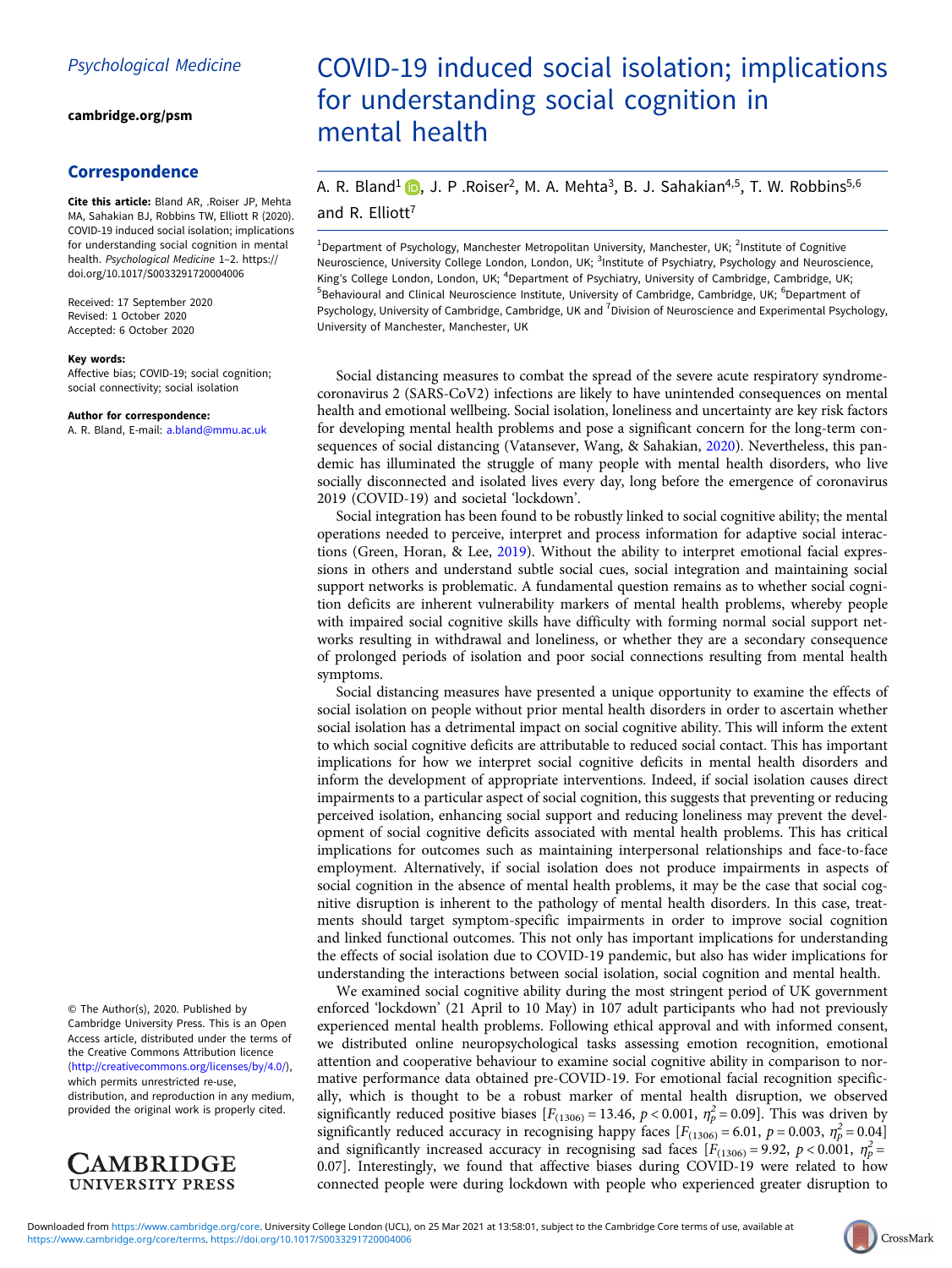[cambridge.org/psm](https://www.cambridge.org/psm)

## Correspondence

Cite this article: Bland AR, .Roiser JP, Mehta MA, Sahakian BJ, Robbins TW, Elliott R (2020). COVID-19 induced social isolation; implications for understanding social cognition in mental health. Psychological Medicine 1–2. [https://](https://doi.org/10.1017/S0033291720004006) [doi.org/10.1017/S0033291720004006](https://doi.org/10.1017/S0033291720004006)

Received: 17 September 2020 Revised: 1 October 2020 Accepted: 6 October 2020

### Key words:

Affective bias; COVID-19; social cognition; social connectivity; social isolation

#### Author for correspondence:

A. R. Bland, E-mail: [a.bland@mmu.ac.uk](mailto:a.bland@mmu.ac.uk)

© The Author(s), 2020. Published by Cambridge University Press. This is an Open Access article, distributed under the terms of the Creative Commons Attribution licence ([http://creativecommons.org/licenses/by/4.0/\)](http://creativecommons.org/licenses/by/4.0/), which permits unrestricted re-use,

distribution, and reproduction in any medium, provided the original work is properly cited.



# COVID-19 induced social isolation; implications for understanding social cognition in mental health

## A. R. Bland<sup>1</sup>  $\Box$ [,](https://orcid.org/0000-0002-7170-1491) J. P .Roiser<sup>2</sup>, M. A. Mehta<sup>3</sup>, B. J. Sahakian<sup>4,5</sup>, T. W. Robbins<sup>5,6</sup> and R. Elliott<sup>7</sup>

<sup>1</sup>Department of Psychology, Manchester Metropolitan University, Manchester, UK; <sup>2</sup>Institute of Cognitive Neuroscience, University College London, London, UK; <sup>3</sup>Institute of Psychiatry, Psychology and Neuroscience, King's College London, London, UK; <sup>4</sup>Department of Psychiatry, University of Cambridge, Cambridge, UK; <sup>5</sup>Behavioural and Clinical Neuroscience Institute, University of Cambridge, Cambridge, UK; <sup>6</sup>Department of Psychology, University of Cambridge, Cambridge, UK and <sup>7</sup>Division of Neuroscience and Experimental Psychology, University of Manchester, Manchester, UK

Social distancing measures to combat the spread of the severe acute respiratory syndromecoronavirus 2 (SARS-CoV2) infections are likely to have unintended consequences on mental health and emotional wellbeing. Social isolation, loneliness and uncertainty are key risk factors for developing mental health problems and pose a significant concern for the long-term consequences of social distancing (Vatansever, Wang, & Sahakian, [2020](#page-1-0)). Nevertheless, this pandemic has illuminated the struggle of many people with mental health disorders, who live socially disconnected and isolated lives every day, long before the emergence of coronavirus 2019 (COVID-19) and societal 'lockdown'.

Social integration has been found to be robustly linked to social cognitive ability; the mental operations needed to perceive, interpret and process information for adaptive social interactions (Green, Horan, & Lee, [2019](#page-1-0)). Without the ability to interpret emotional facial expressions in others and understand subtle social cues, social integration and maintaining social support networks is problematic. A fundamental question remains as to whether social cognition deficits are inherent vulnerability markers of mental health problems, whereby people with impaired social cognitive skills have difficulty with forming normal social support networks resulting in withdrawal and loneliness, or whether they are a secondary consequence of prolonged periods of isolation and poor social connections resulting from mental health symptoms.

Social distancing measures have presented a unique opportunity to examine the effects of social isolation on people without prior mental health disorders in order to ascertain whether social isolation has a detrimental impact on social cognitive ability. This will inform the extent to which social cognitive deficits are attributable to reduced social contact. This has important implications for how we interpret social cognitive deficits in mental health disorders and inform the development of appropriate interventions. Indeed, if social isolation causes direct impairments to a particular aspect of social cognition, this suggests that preventing or reducing perceived isolation, enhancing social support and reducing loneliness may prevent the development of social cognitive deficits associated with mental health problems. This has critical implications for outcomes such as maintaining interpersonal relationships and face-to-face employment. Alternatively, if social isolation does not produce impairments in aspects of social cognition in the absence of mental health problems, it may be the case that social cognitive disruption is inherent to the pathology of mental health disorders. In this case, treatments should target symptom-specific impairments in order to improve social cognition and linked functional outcomes. This not only has important implications for understanding the effects of social isolation due to COVID-19 pandemic, but also has wider implications for understanding the interactions between social isolation, social cognition and mental health.

We examined social cognitive ability during the most stringent period of UK government enforced 'lockdown' (21 April to 10 May) in 107 adult participants who had not previously experienced mental health problems. Following ethical approval and with informed consent, we distributed online neuropsychological tasks assessing emotion recognition, emotional attention and cooperative behaviour to examine social cognitive ability in comparison to normative performance data obtained pre-COVID-19. For emotional facial recognition specifically, which is thought to be a robust marker of mental health disruption, we observed significantly reduced positive biases  $[F_{(1306)} = 13.46, p < 0.001, \eta_p^2 = 0.09]$ . This was driven by significantly reduced accuracy in recognising happy faces  $[F_{(1306)} = 6.01, p = 0.003, \eta_p^2 = 0.04]$ and significantly increased accuracy in recognising sad faces  $[F_{(1306)} = 9.92, p < 0.001, \eta_p^2 =$ 0.07]. Interestingly, we found that affective biases during COVID-19 were related to how connected people were during lockdown with people who experienced greater disruption to